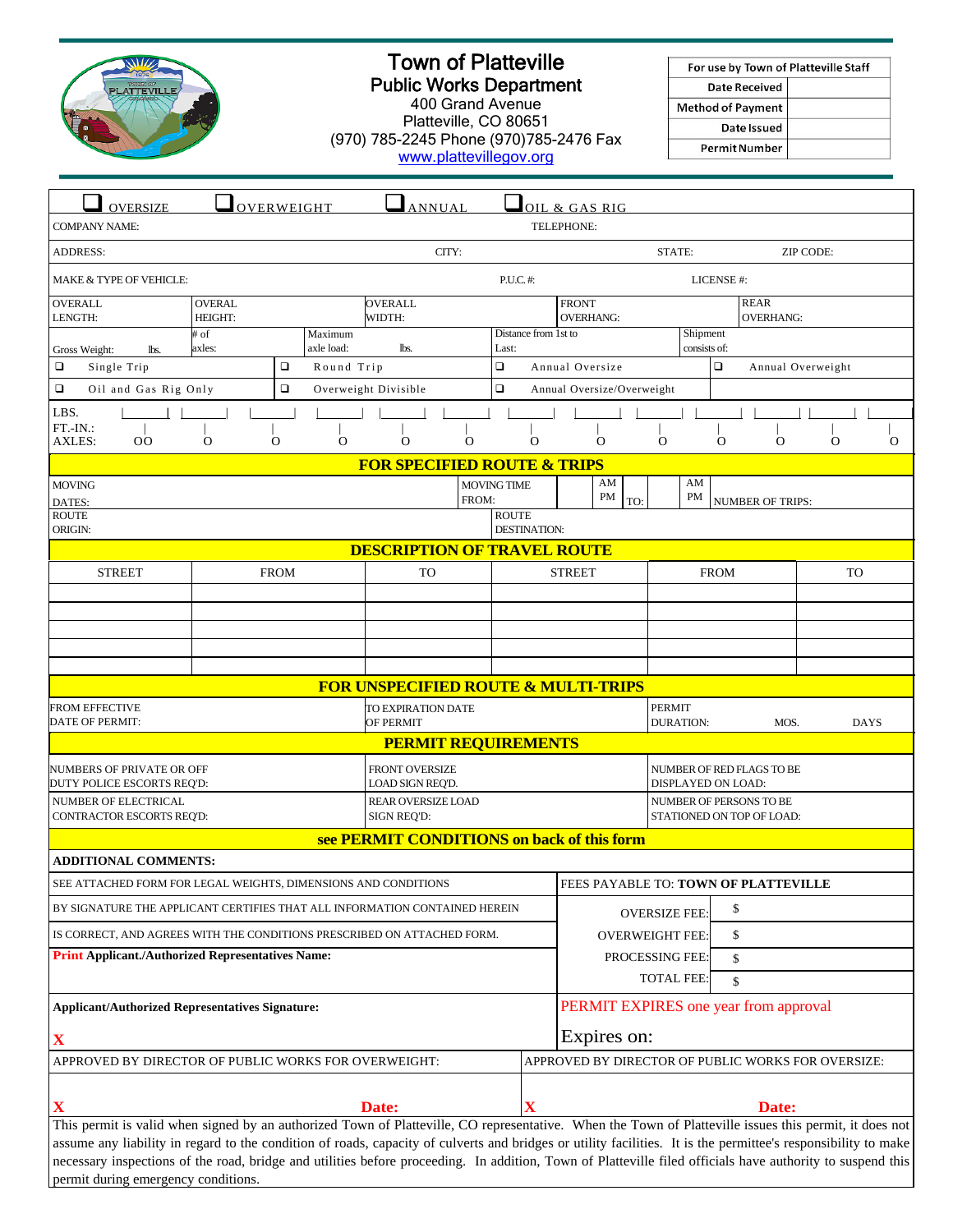

## Town of Platteville Public Works Department

400 Grand Avenue Platteville, CO 80651 (970) 785-2245 Phone (970)785-2476 Fax www.plattevillegov.org

| For use by Town of Platteville Staff |  |
|--------------------------------------|--|
| Date Received                        |  |
| <b>Method of Payment</b>             |  |
| Date Issued                          |  |
| <b>Permit Number</b>                 |  |

| <b>OVERSIZE</b>                                                                                                                                                                                                                                                                                                          | OVERWEIGHT                               |                                     |                      | ANNUAL                                         |                            |                                                    |                                  | OIL & GAS RIG                        |                          |                                   |                                               |                                 |                         |  |             |          |
|--------------------------------------------------------------------------------------------------------------------------------------------------------------------------------------------------------------------------------------------------------------------------------------------------------------------------|------------------------------------------|-------------------------------------|----------------------|------------------------------------------------|----------------------------|----------------------------------------------------|----------------------------------|--------------------------------------|--------------------------|-----------------------------------|-----------------------------------------------|---------------------------------|-------------------------|--|-------------|----------|
| TELEPHONE:<br><b>COMPANY NAME:</b>                                                                                                                                                                                                                                                                                       |                                          |                                     |                      |                                                |                            |                                                    |                                  |                                      |                          |                                   |                                               |                                 |                         |  |             |          |
| CITY:<br><b>ADDRESS:</b>                                                                                                                                                                                                                                                                                                 |                                          |                                     |                      |                                                |                            |                                                    |                                  | STATE:                               | ZIP CODE:                |                                   |                                               |                                 |                         |  |             |          |
| MAKE & TYPE OF VEHICLE:                                                                                                                                                                                                                                                                                                  |                                          |                                     |                      |                                                | P.U.C.#:                   | LICENSE #:                                         |                                  |                                      |                          |                                   |                                               |                                 |                         |  |             |          |
| <b>OVERALL</b><br>LENGTH:                                                                                                                                                                                                                                                                                                | <b>OVERAL</b><br><b>HEIGHT:</b>          |                                     |                      | <b>OVERALL</b><br>WIDTH:                       |                            |                                                    | <b>FRONT</b><br><b>OVERHANG:</b> |                                      |                          |                                   |                                               | <b>REAR</b><br><b>OVERHANG:</b> |                         |  |             |          |
| Gross Weight:<br>lbs.                                                                                                                                                                                                                                                                                                    | # of<br>Maximum<br>axle load:<br>axles:  |                                     |                      | lbs.                                           | Last:                      | Distance from 1st to                               |                                  |                                      | Shipment<br>consists of: |                                   |                                               |                                 |                         |  |             |          |
| □<br>Single Trip                                                                                                                                                                                                                                                                                                         |                                          | $\Box$                              | Round Trip           |                                                |                            | $\Box$                                             |                                  | Annual Oversize                      |                          |                                   |                                               | $\Box$                          | Annual Overweight       |  |             |          |
| $\Box$<br>$\Box$<br>Oil and Gas Rig Only                                                                                                                                                                                                                                                                                 |                                          |                                     | Overweight Divisible | $\Box$                                         | Annual Oversize/Overweight |                                                    |                                  |                                      |                          |                                   |                                               |                                 |                         |  |             |          |
| LBS.                                                                                                                                                                                                                                                                                                                     |                                          |                                     |                      |                                                |                            |                                                    |                                  |                                      |                          |                                   |                                               |                                 |                         |  |             |          |
| $FT.-IN.:$<br><b>AXLES:</b><br>00                                                                                                                                                                                                                                                                                        | $\mathbf{O}$                             | $\Omega$                            | $\Omega$             | $\Omega$                                       | $\Omega$                   | $\Omega$                                           |                                  |                                      | $\Omega$                 | $\Omega$                          |                                               | O                               | $\Omega$                |  | $\mathbf O$ | $\Omega$ |
|                                                                                                                                                                                                                                                                                                                          |                                          |                                     |                      | <b>FOR SPECIFIED ROUTE &amp; TRIPS</b>         |                            |                                                    |                                  |                                      |                          |                                   |                                               |                                 |                         |  |             |          |
| <b>MOVING</b>                                                                                                                                                                                                                                                                                                            |                                          |                                     |                      |                                                |                            | <b>MOVING TIME</b>                                 |                                  |                                      | AM                       |                                   | AM                                            |                                 |                         |  |             |          |
| DATES:<br><b>ROUTE</b>                                                                                                                                                                                                                                                                                                   |                                          |                                     |                      |                                                | FROM:                      | <b>ROUTE</b>                                       |                                  |                                      | PM<br>TO:                |                                   | PM                                            |                                 | <b>NUMBER OF TRIPS:</b> |  |             |          |
| ORIGIN:                                                                                                                                                                                                                                                                                                                  |                                          |                                     |                      |                                                |                            | DESTINATION:                                       |                                  |                                      |                          |                                   |                                               |                                 |                         |  |             |          |
| <b>DESCRIPTION OF TRAVEL ROUTE</b>                                                                                                                                                                                                                                                                                       |                                          |                                     |                      |                                                |                            |                                                    |                                  |                                      |                          |                                   |                                               |                                 |                         |  |             |          |
| <b>STREET</b>                                                                                                                                                                                                                                                                                                            | <b>FROM</b>                              |                                     |                      | <b>TO</b>                                      |                            | <b>STREET</b>                                      |                                  |                                      | <b>FROM</b>              |                                   |                                               |                                 | <b>TO</b>               |  |             |          |
|                                                                                                                                                                                                                                                                                                                          |                                          |                                     |                      |                                                |                            |                                                    |                                  |                                      |                          |                                   |                                               |                                 |                         |  |             |          |
|                                                                                                                                                                                                                                                                                                                          |                                          |                                     |                      |                                                |                            |                                                    |                                  |                                      |                          |                                   |                                               |                                 |                         |  |             |          |
|                                                                                                                                                                                                                                                                                                                          |                                          |                                     |                      |                                                |                            |                                                    |                                  |                                      |                          |                                   |                                               |                                 |                         |  |             |          |
|                                                                                                                                                                                                                                                                                                                          |                                          |                                     |                      |                                                |                            |                                                    |                                  |                                      |                          |                                   |                                               |                                 |                         |  |             |          |
|                                                                                                                                                                                                                                                                                                                          |                                          |                                     |                      | <b>FOR UNSPECIFIED ROUTE &amp; MULTI-TRIPS</b> |                            |                                                    |                                  |                                      |                          |                                   |                                               |                                 |                         |  |             |          |
| <b>FROM EFFECTIVE</b><br><b>DATE OF PERMIT:</b>                                                                                                                                                                                                                                                                          |                                          |                                     |                      | TO EXPIRATION DATE<br>OF PERMIT                |                            |                                                    |                                  |                                      |                          | <b>PERMIT</b><br><b>DURATION:</b> |                                               |                                 | MOS.                    |  | <b>DAYS</b> |          |
| <b>PERMIT REQUIREMENTS</b>                                                                                                                                                                                                                                                                                               |                                          |                                     |                      |                                                |                            |                                                    |                                  |                                      |                          |                                   |                                               |                                 |                         |  |             |          |
| NUMBERS OF PRIVATE OR OFF                                                                                                                                                                                                                                                                                                |                                          |                                     |                      | <b>FRONT OVERSIZE</b>                          |                            |                                                    | NUMBER OF RED FLAGS TO BE        |                                      |                          |                                   |                                               |                                 |                         |  |             |          |
| DUTY POLICE ESCORTS REQ'D:<br>LOAD SIGN REQ'D.<br>NUMBER OF ELECTRICAL<br><b>REAR OVERSIZE LOAD</b>                                                                                                                                                                                                                      |                                          |                                     |                      |                                                |                            |                                                    |                                  |                                      |                          |                                   | DISPLAYED ON LOAD:<br>NUMBER OF PERSONS TO BE |                                 |                         |  |             |          |
|                                                                                                                                                                                                                                                                                                                          | CONTRACTOR ESCORTS REQ'D:<br>SIGN REQ'D: |                                     |                      |                                                |                            |                                                    | STATIONED ON TOP OF LOAD:        |                                      |                          |                                   |                                               |                                 |                         |  |             |          |
| see PERMIT CONDITIONS on back of this form                                                                                                                                                                                                                                                                               |                                          |                                     |                      |                                                |                            |                                                    |                                  |                                      |                          |                                   |                                               |                                 |                         |  |             |          |
| <b>ADDITIONAL COMMENTS:</b>                                                                                                                                                                                                                                                                                              |                                          |                                     |                      |                                                |                            |                                                    |                                  |                                      |                          |                                   |                                               |                                 |                         |  |             |          |
| SEE ATTACHED FORM FOR LEGAL WEIGHTS, DIMENSIONS AND CONDITIONS                                                                                                                                                                                                                                                           |                                          |                                     |                      |                                                |                            |                                                    |                                  | FEES PAYABLE TO: TOWN OF PLATTEVILLE |                          |                                   |                                               |                                 |                         |  |             |          |
| BY SIGNATURE THE APPLICANT CERTIFIES THAT ALL INFORMATION CONTAINED HEREIN                                                                                                                                                                                                                                               |                                          |                                     |                      |                                                |                            |                                                    | <b>OVERSIZE FEE:</b>             |                                      |                          |                                   | \$                                            |                                 |                         |  |             |          |
| IS CORRECT, AND AGREES WITH THE CONDITIONS PRESCRIBED ON ATTACHED FORM.                                                                                                                                                                                                                                                  |                                          |                                     |                      |                                                |                            |                                                    | <b>OVERWEIGHT FEE:</b>           |                                      |                          |                                   | \$                                            |                                 |                         |  |             |          |
| <b>Print Applicant./Authorized Representatives Name:</b>                                                                                                                                                                                                                                                                 |                                          |                                     |                      |                                                |                            |                                                    | PROCESSING FEE:                  |                                      |                          |                                   | \$                                            |                                 |                         |  |             |          |
|                                                                                                                                                                                                                                                                                                                          |                                          |                                     |                      |                                                |                            |                                                    |                                  |                                      |                          | <b>TOTAL FEE:</b>                 |                                               | \$                              |                         |  |             |          |
| <b>Applicant/Authorized Representatives Signature:</b>                                                                                                                                                                                                                                                                   |                                          |                                     |                      |                                                |                            | PERMIT EXPIRES one year from approval              |                                  |                                      |                          |                                   |                                               |                                 |                         |  |             |          |
| $\mathbf X$                                                                                                                                                                                                                                                                                                              |                                          |                                     |                      |                                                |                            | Expires on:                                        |                                  |                                      |                          |                                   |                                               |                                 |                         |  |             |          |
| APPROVED BY DIRECTOR OF PUBLIC WORKS FOR OVERWEIGHT:                                                                                                                                                                                                                                                                     |                                          |                                     |                      |                                                |                            | APPROVED BY DIRECTOR OF PUBLIC WORKS FOR OVERSIZE: |                                  |                                      |                          |                                   |                                               |                                 |                         |  |             |          |
|                                                                                                                                                                                                                                                                                                                          |                                          |                                     |                      |                                                |                            |                                                    |                                  |                                      |                          |                                   |                                               |                                 |                         |  |             |          |
| Date:                                                                                                                                                                                                                                                                                                                    |                                          |                                     |                      |                                                |                            | Date:                                              |                                  |                                      |                          |                                   |                                               |                                 |                         |  |             |          |
| This permit is valid when signed by an authorized Town of Platteville, CO representative. When the Town of Platteville issues this permit, it does not<br>assume any liability in regard to the condition of roads, capacity of culverts and bridges or utility facilities. It is the permittee's responsibility to make |                                          |                                     |                      |                                                |                            |                                                    |                                  |                                      |                          |                                   |                                               |                                 |                         |  |             |          |
| necessary inspections of the road, bridge and utilities before proceeding. In addition, Town of Platteville filed officials have authority to suspend this                                                                                                                                                               |                                          |                                     |                      |                                                |                            |                                                    |                                  |                                      |                          |                                   |                                               |                                 |                         |  |             |          |
|                                                                                                                                                                                                                                                                                                                          |                                          | permit during emergency conditions. |                      |                                                |                            |                                                    |                                  |                                      |                          |                                   |                                               |                                 |                         |  |             |          |